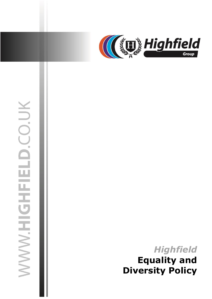

# WWW.HIGHFIELD.CO.UK

03 July 2019 jasonsprenger

# *Highfield* **Equality and Diversity Policy**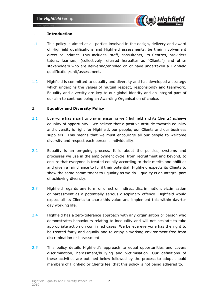

### 1. **Introduction**

- 1.1 This policy is aimed at all parties involved in the design, delivery and award of Highfield qualifications and Highfield assessments, be their involvement direct or indirect. This includes, staff, consultants, its Centres, providers tutors, learners; (collectively referred hereafter as "Clients") and other stakeholders who are delivering/enrolled on or have undertaken a Highfield qualification/unit/assessment.
- 1.2 Highfield is committed to equality and diversity and has developed a strategy which underpins the values of mutual respect, responsibility and teamwork. Equality and diversity are key to our global identity and an integral part of our aim to continue being an Awarding Organisation of choice.

### 2. **Equality and Diversity Policy**

- 2.1 Everyone has a part to play in ensuring we (Highfield and its Clients) achieve equality of opportunity. We believe that a positive attitude towards equality and diversity is right for Highfield, our people, our Clients and our business suppliers. This means that we must encourage all our people to welcome diversity and respect each person's individuality.
- 2.2 Equality is an on-going process. It is about the policies, systems and processes we use in the employment cycle, from recruitment and beyond, to ensure that everyone is treated equally according to their merits and abilities and given a fair chance to fulfil their potential. Highfield expects its Clients to show the same commitment to Equality as we do. Equality is an integral part of achieving diversity.
- 2.3 Highfield regards any form of direct or indirect discrimination, victimisation or harassment as a potentially serious disciplinary offence. Highfield would expect all its Clients to share this value and implement this within day-today working life.
- 2.4 Highfield has a zero-tolerance approach with any organisation or person who demonstrates behaviours relating to inequality and will not hesitate to take appropriate action on confirmed cases. We believe everyone has the right to be treated fairly and equally and to enjoy a working environment free from discrimination or harassment.
- 2.5 This policy details Highfield's approach to equal opportunities and covers discrimination, harassment/bullying and victimisation. Our definitions of these activities are outlined below followed by the process to adopt should members of Highfield or Clients feel that this policy is not being adhered to.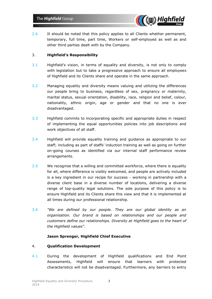

2.6 It should be noted that this policy applies to all Clients whether permanent, temporary, full time, part time, Workers or self-employed as well as and other third parties dealt with by the Company.

### 3. **Highfield's Responsibility**

- 3.1 Highfield's vision, in terms of equality and diversity, is not only to comply with legislation but to take a progressive approach to ensure all employees of Highfield and its Clients share and operate in the same approach.
- 3.2 Managing equality and diversity means valuing and utilizing the differences our people bring to business, regardless of sex, pregnancy or maternity, marital status, sexual orientation, disability, race, religion and belief, colour, nationality, ethnic origin, age or gender and that no one is ever disadvantaged.
- 3.3 Highfield commits to incorporating specific and appropriate duties in respect of implementing the equal opportunities policies into job descriptions and work objectives of all staff.
- 3.4 Highfield will provide equality training and guidance as appropriate to our staff; including as part of staffs' induction training as well as going on further on-going courses as identified via our internal staff performance review arrangements.
- 3.5 We recognise that a willing and committed workforce, where there is equality for all, where difference is visibly welcomed, and people are actively included is a key ingredient in our recipe for success - working in partnership with a diverse client base in a diverse number of locations, delivering a diverse range of top-quality legal solutions. The sole purpose of this policy is to ensure Highfield and its Clients share this view and that it is implemented at all times during our professional relationship.
- 3.6 *"We are defined by our people. They are our global identity as an organisation. Our brand is based on relationships and our people and customers define our relationships. Diversity at Highfield goes to the heart of the Highfield values".*

### **Jason Sprenger, Highfield Chief Executive**

### 4. **Qualification Development**

4.1 During the development of Highfield qualifications and End Point Assessments, Highfield will ensure that learners with protected characteristics will not be disadvantaged. Furthermore, any barriers to entry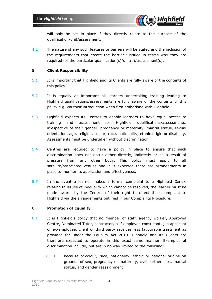

will only be set in place if they directly relate to the purpose of the qualification/unit/assessment.

4.2 The nature of any such features or barriers will be stated and the inclusion of the requirements that create the barrier justified in terms why they are required for the particular qualification(s)/unit(s)/assessment(s).

### 5. **Client Responsibility**

- 5.1 It is important that Highfield and its Clients are fully aware of the contents of this policy.
- 5.2 It is equally as important all learners undertaking training leading to Highfield qualifications/assessments are fully aware of the contents of this policy e.g. via their introduction when first embarking with Highfield.
- 5.3 Highfield expects its Centres to enable learners to have equal access to training and assessment for Highfield qualifications/assessments, irrespective of their gender, pregnancy or maternity, marital status, sexual orientation, age, religion, colour, race, nationality, ethnic origin or disability. Assessments must be undertaken without discrimination.
- 5.4 Centres are required to have a policy in place to ensure that such discrimination does not occur either directly, indirectly or as a result of pressure from any other body. This policy must apply to all satellite/associated venues and it is expected there are arrangements in place to monitor its application and effectiveness.
- 5.5 In the event a learner makes a formal complaint to a Highfield Centre relating to issues of inequality which cannot be resolved, the learner must be made aware, by the Centre, of their right to direct their compliant to Highfield via the arrangements outlined in our Complaints Procedure.

### 6. **Promotion of Equality**

- 6.1 It is Highfield's policy that no member of staff, agency worker, Approved Centre, Nominated Tutor, contractor, self-employed consultant, job applicant or ex-employee, client or third party receives less favourable treatment as provided for under the Equality Act 2010. Highfield and its Clients are therefore expected to operate in this exact same manner. Examples of discrimination include, but are in no way limited to the following:
	- 6.1.1 because of colour, race, nationality, ethnic or national origins on grounds of sex, pregnancy or maternity, civil partnerships, marital status, and gender reassignment;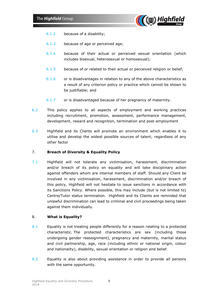

- 6.1.2 because of a disability;
- 6.1.3 because of age or perceived age;
- 6.1.4 because of their actual or perceived sexual orientation (which includes bisexual, heterosexual or homosexual);
- 6.1.5 because of or related to their actual or perceived religion or belief;
- 6.1.6 or is disadvantages in relation to any of the above characteristics as a result of any criterion policy or practice which cannot be shown to be justifiable; and
- 6.1.7 or is disadvantaged because of her pregnancy of maternity.
- 6.2 This policy applies to all aspects of employment and working practices including recruitment, promotion, assessment, performance management, development, reward and recognition, termination and post-employment
- 6.3 Highfield and its Clients will promote an environment which enables it to utilise and develop the widest possible sources of talent; regardless of any other factor

### 7. **Breach of Diversity & Equality Policy**

7.1 Highfield will not tolerate any victimisation, harassment, discrimination and/or breach of its policy on equality and will take disciplinary action against offenders whom are internal members of staff. Should any Client be involved in any victimisation, harassment, discrimination and/or breach of this policy, Highfield will not hesitate to issue sanctions in accordance with its Sanctions Policy. Where possible, this may include (but is not limited to) Centre/Tutor status termination. Highfield and its Clients are reminded that unlawful discrimination can lead to criminal and civil proceedings being taken against them individually.

### 8. **What is Equality?**

- 8.1 Equality is not treating people differently for a reason relating to a protected characteristic. The protected characteristics are sex (including those undergoing gender reassignment), pregnancy and maternity, marital status and civil partnership, age, race (including ethnic or national origin, colour and nationality), disability, sexual orientation or religion and belief.
- 8.2 Equality is also about providing assistance in order to provide all persons with the same opportunity.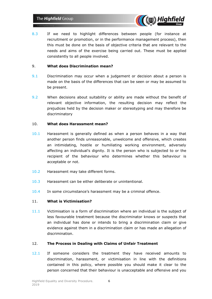

8.3 If we need to highlight differences between people (for instance at recruitment or promotion, or in the performance management process), then this must be done on the basis of objective criteria that are relevant to the needs and aims of the exercise being carried out. These must be applied consistently to all people involved.

### 9. **What does Discrimination mean?**

- 9.1 Discrimination may occur when a judgement or decision about a person is made on the basis of the differences that can be seen or may be assumed to be present.
- 9.2 When decisions about suitability or ability are made without the benefit of relevant objective information, the resulting decision may reflect the prejudices held by the decision maker or stereotyping and may therefore be discriminatory

### 10. **What does Harassment mean?**

- 10.1 Harassment is generally defined as when a person behaves in a way that another person finds unreasonable, unwelcome and offensive, which creates an intimidating, hostile or humiliating working environment, adversely affecting an individual's dignity. It is the person who is subjected to or the recipient of the behaviour who determines whether this behaviour is acceptable or not.
- 10.2 Harassment may take different forms.
- 10.3 Harassment can be either deliberate or unintentional.
- 10.4 In some circumstance's harassment may be a criminal offence.

### 11. **What is Victimisation?**

11.1 Victimisation is a form of discrimination where an individual is the subject of less favourable treatment because the discriminator knows or suspects that an individual has done or intends to bring a discrimination claim or give evidence against them in a discrimination claim or has made an allegation of discrimination.

### 12. **The Process in Dealing with Claims of Unfair Treatment**

12.1 If someone considers the treatment they have received amounts to discrimination, harassment, or victimisation in line with the definitions contained in this policy, where possible you should make it clear to the person concerned that their behaviour is unacceptable and offensive and you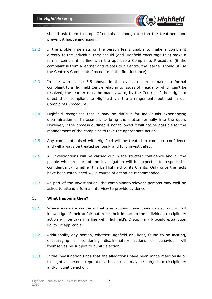

should ask them to stop. Often this is enough to stop the treatment and prevent it happening again.

- 12.2 If the problem persists or the person feel's unable to make a complaint directly to the individual they should (and Highfield encourage this) make a formal complaint in line with the applicable Complaints Procedure (if the complaint is from a learner and relates to a Centre, the learner should utilise the Centre's Complaints Procedure in the first instance).
- 12.3 In line with clause 5.5 above, in the event a learner makes a formal complaint to a Highfield Centre relating to issues of inequality which can't be resolved, the learner must be made aware, by the Centre, of their right to direct their compliant to Highfield via the arrangements outlined in our Complaints Procedure.
- 12.4 Highfield recognises that it may be difficult for individuals experiencing discrimination or harassment to bring the matter formally into the open. However, if the process outlined is not followed it will not be possible for the management of the complaint to take the appropriate action.
- 12.5 Any complaint raised with Highfield will be treated in complete confidence and will always be treated seriously and fully investigated.
- 12.6 All investigations will be carried out in the strictest confidence and all the people who are part of the investigation will be expected to respect this confidentiality; whether this be Highfield or its Clients. Only once the facts have been established will a course of action be recommended.
- 12.7 As part of the investigation, the complainant/relevant persons may well be asked to attend a formal interview to provide evidence.

### 13. **What happens then?**

- 13.1 Where evidence suggests that any actions have been carried out in full knowledge of their unfair nature or their impact to the individual, disciplinary action will be taken in line with Highfield's Disciplinary Procedure/Sanction Policy; if applicable.
- 13.2 Additionally, any person, whether Highfield or Client, found to be inciting, encouraging or condoning discriminatory actions or behaviour will themselves be subject to punitive action.
- 13.3 If the investigation finds that the allegations have been made maliciously or to slight a person's reputation, the accuser may be subject to disciplinary and/or punitive action.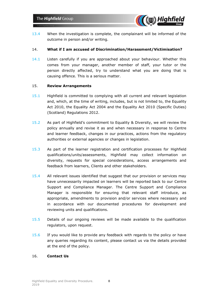

13.4 When the investigation is complete, the complainant will be informed of the outcome in person and/or writing.

### 14. **What if I am accused of Discrimination/Harassment/Victimisation?**

14.1 Listen carefully if you are approached about your behaviour. Whether this comes from your manager, another member of staff, your tutor or the person directly affected, try to understand what you are doing that is causing offence. This is a serious matter.

### 15. **Review Arrangements**

- 15.1 Highfield is committed to complying with all current and relevant legislation and, which, at the time of writing, includes, but is not limited to, the Equality Act 2010, the Equality Act 2004 and the Equality Act 2010 (Specific Duties) (Scotland) Regulations 2012.
- 15.2 As part of Highfield's commitment to Equality & Diversity, we will review the policy annually and revise it as and when necessary in response to Centre and learner feedback, changes in our practices, actions from the regulatory authorities or external agencies or changes in legislation.
- 15.3 As part of the learner registration and certification processes for Highfield qualifications/units/assessments, Highfield may collect information on diversity, requests for special considerations, access arrangements and feedback from learners, Clients and other stakeholders.
- 15.4 All relevant issues identified that suggest that our provision or services may have unnecessarily impacted on learners will be reported back to our Centre Support and Compliance Manager. The Centre Support and Compliance Manager is responsible for ensuring that relevant staff introduce, as appropriate, amendments to provision and/or services where necessary and in accordance with our documented procedures for development and reviewing units and qualifications.
- 15.5 Details of our ongoing reviews will be made available to the qualification regulators, upon request.
- 15.6 If you would like to provide any feedback with regards to the policy or have any queries regarding its content, please contact us via the details provided at the end of the policy.

### 16. **Contact Us**